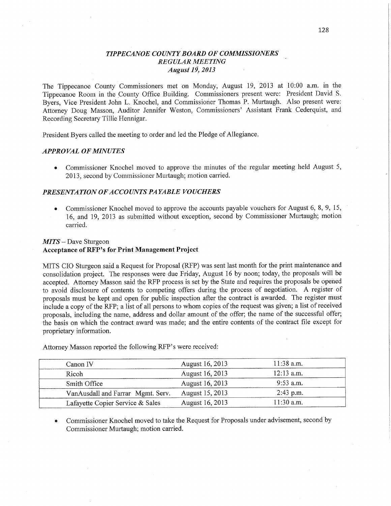## *TIPPECANOE COIHVTY'BOARD* OF *COMMISSIONERS REGULAR MEETING Augusi* 19, *2013*

The Tippecanoe County **Commissioners** met on Monday, August 19, 2013 at **10:00** am. in the Tippecanoe Room in the County Office **Building.** Commissioners present were: President David S. Byers, Vice President John L. Knochel, and Commissiofier Thomas P. Murtaugh. **Also** present were: Attorney Doug Masson, Auditor Jennifer Weston, Commissioners' Assistant Frank Cederquist, and Recording Secretary Tillie Hennigar.

President Byers called the meeting to order and led the Pledge of Allegiance.

#### **APPROVAL OF MINUTES**

**0** Commissioner Knochel moved to approve the minutes of the regular meeting held August 5, 2013, second by Commissioner Murtaugh; motion carried.

#### **PRESENTATION OF ACCOUNTS PAYABLE VOUCHERS**

• Commissioner Knochel moved to approve the accounts payable vouchers for August 6, 8, 9, 15, 16, and 19, 2013 as submitted without exception, second by Commissioner Murtaugh; motion carried.

#### *MITS* **—** Dave Sturgeon

#### **Acceptance** of RFP's for Print **Management Project**

MITS CIO Sturgeon said a Request for Proposal (RFP) was sent last month for the **print maintenance** and consolidation project. The responses were due Friday, August 16 by noon; today, the proposals will be accepted. Attorney Masson said the RFP process is set by the State and requires the proposals be opene<sup>d</sup> to avoid disclosure of contents to competing offers during the process of negotiation. A register of proposals must be kept and open for public inspection after the contract is awarded. The register **must**  include a copy of the RFP; **a** list of all persons to whom copies of the request was given; a list of received proposals, including the name, address and dollar amount of the offer; the name of the successful offer; the basis on which the contract award was made; and the entire contents of the contract file except for proprietary information.

| Canon IV                          | August 16, 2013 | $11:38$ a.m. |
|-----------------------------------|-----------------|--------------|
| Ricoh                             | August 16, 2013 | $12:13$ a.m. |
| Smith Office                      | August 16, 2013 | $9:53$ a.m.  |
| VanAusdall and Farrar Mgmt. Serv. | August 15, 2013 | $2:43$ p.m.  |
| Lafayette Copier Service & Sales  | August 16, 2013 | $11:30$ a.m. |

**Attorney** Masson reported the following RFP's were received:

**0** Commissioner Knochel moved to take the Request for Proposals under advisement, second by Commissioner Murtaugh; motion carried.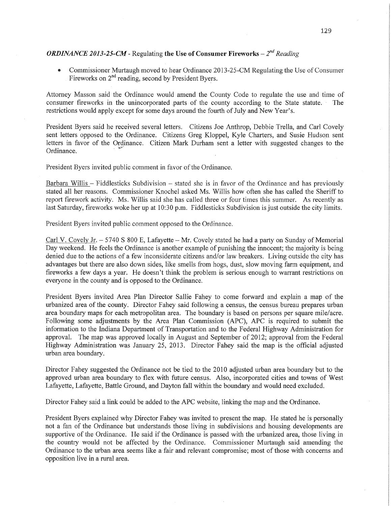## *ORDINANCE 2013-25-CM - Regulating the Use of Consumer Fireworks –*  $2^{nd}$  *Reading*

**•** Commissioner Murtaugh moved to hear Ordinance 2013-25-CM Regulating the Use of Consumer Fireworks on 2<sup>nd</sup> reading, second by President Byers.

Attorney Masson said the Ordinance would amend the County Code to regulate the use and time of consumer fireworks in the unincorporated parts of the county according to the State statute. The restrictions would apply except for some days around the fourth of July and New Year's.

President Byers said he received several letters. Citizens Joe Anthrop, Debbie Trella, and Carl Covely sent letters opposed to the Ordinance. Citizens Greg Kloppel, Kyle Charters, and Susie Hudson sent lefiers in favor of the Ordinance. Citizen Mark Durham sent a letter with suggested changes to the Ordinance.

President Byers invited public comment in favor of the Ordinance.

Barbara Willis — Fiddlesticks Subdivision — stated she is in favor of the Ordinance and has previously stated all her reasons. Commissioner Knochel asked Ms. Willis how often she has called the Sheriff to report firework activity. Ms. Willis said she has called three or four times this summer. As recently as last Saturday, fireworks woke her up at 10:30 p.m. Fiddlesticks Subdivision is just outside the city limits.

President Byers invited public comment opposed to the Ordinance.

Carl V. Covely Jr. **—** 5740 *S* 800 E, Lafayette — Mr. Covely stated he had <sup>a</sup>party on Sunday of Memorial Day weekend. He feels the Ordinance is another example of punishing the innocent; the majority is being denied due to the actions of **a** few inconsiderate citizens and/or law breakers. Living outside the city has advantages but there are also down sides, like smells from hogs, dust, slow moving farm equipment, and fireworks **a** few days a year. He doesn't think the problem is serious enough to warrant restrictions on everyone in the county and is opposed to the Ordinance.

President Byers invited Area Plan Director Sallie Fahey to come forward and explain a map of the urbanized area of the county. Director Fahey said following a census, the census bureau prepares urban area boundary maps for each metropolitan area. The boundary is based on persons per square mile/acre. Following some adjustments by the Area Plan Commission (APC), APC is required to submit the information to the Indiana Department of Transportation and to the Federal Highway Administration for approval. The map was approved locally in August and September of 2012; approval from the Federal Highway Administration was January 25, 2013. Director Fahey said the map is the official adjusted urban area boundary.

Director Fahey suggested the Ordinance not be tied to the 2010 adjusted urban area boundary but to the approved urban area boundary to flex with future census. Also, incorporated cities and towns of West Lafayette, Lafayette, Battle Ground, and Dayton fall within the boundary and would need excluded.

Director Fahey said a **link** could be added to the APC website, linking the map and the Ordinance.

President Byers explained why Director Fahey was invited to present the **map.** He stated he is personally not **a** fan of the Ordinance but understands those living in subdivisions and housing developments are supportive of the Ordinance. He said if the Ordinance is passed with the urbanized area, those living in the country would not be affected by the Ordinance. Commissioner Mufiaugh said amending the Ordinance to the urban area seems like a'fair and relevant compromise; most of those with concerns and opposition live in a rural area.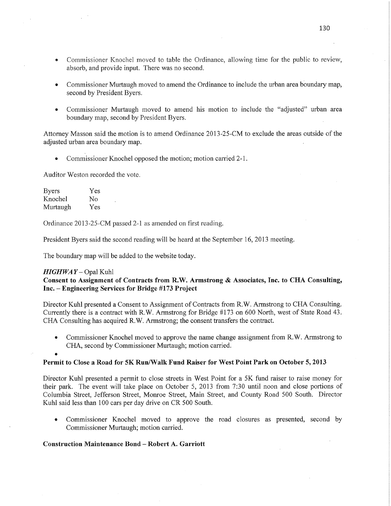- Commissioner Knochel moved to table the Ordinance, allowing time for the public to review, absorb, and provide input. There was no second.
- Commissioner Murtaugh moved to amend the Ordinance to include the urban area boundary map, second by President Byers.
- **0** Commissioner Murtaugh moved to amend his motion to include the "adjusted" urban area boundary map, second by President Byers.

Attorney Masson said the motion is to amend Ordinance 2013-25-CM to exclude the areas outside of the adjusted urban area boundary map.

*0* Commissioner Knochel opposed the motion; motion carried'Z-l.

Auditor Weston recorded the vote.

Byers Yes Knochel No Murtaugh Yes

Ordinance 2013-25—CM passed 2—1 as amended on first reading.

President Byers said the second reading will be heard at the September 16, 2013 meeting.

The boundary map will be added to the website today.

#### *HIGHWAY* – Opal Kuhl

### Consent to Assignment of **Contracts** from **R.W. Armstrong &** Associates, **Inc.** to CHA Consulting, **Inc.** :— **Engineering Services** for **Bridge #173 Project**

Director Kuhl presented a Consent to Assignment of COntracts from R.W. Armstrong to CHA Consulting. Currently there is a contract with R.W. Armstrong for Bridge #173 on 600 North, west'of State Road 43. CHA Consulting has acquired R.W. Armstrong; the consent transfers the contract.

**0** Commissioner Knochel moved to approve the name change assignment from R.W. Armstrong to CHA, second by Commissioner Murtaugh; motion carried.

#### **0**

#### **Permit** to **Close a Road** for 5K Run/Walk **Fund Raiser** for West **Point Park** on **October** 5, **2013**

Director Kuhl presented a permit to close streets in West Point for a 5K fund raiser to raise money for their park. The event will take place on October 5, 2013 **from** 7:30 until noon and close portions of Columbia Street, Jefferson Street, Monroe Street, Main Street, and County Road 500 South. Director Kuhl said less than 100 cars per day drive on CR 500 South.

**0** Commissioner Knochel moved to approve the road closures as presented, second by Commissioner Murtaugh; motion carried.

#### Construction Maintenance Bond -— **Robert** A. **Garriott**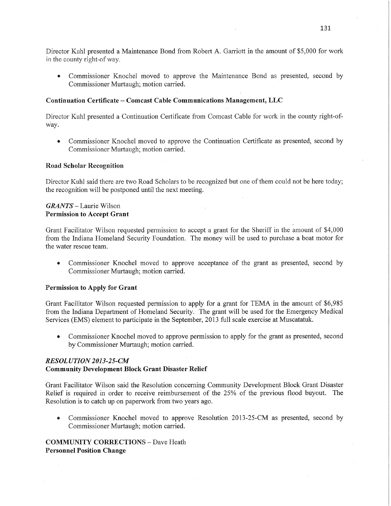Director Kuhl presented a Maintenance Bond from Robert A. Garriott in the amount of \$5,000 for work in the county right—of way.

**0** Commissioner Knochel moved to approve the Maintenance Bond as presented, second by Commissioner Murtaugh; motion carried.

### **Continuation Certificate** *—* **Comcast Cable** Communications **Management,** LLC

Director Kuhl presented a Continuation Certificate from Comcast Cable for work in the county right-of-Way.

**0** Commissioner Knochel moved to approve the Continuation Certificate as presented, second by Commissioner Murtaugh; motion carried.

#### **Road Scholar** Recognition

Director Kuhl said there are two Road Scholars to be recognized but one of them could not be here today; the recognition will be postponed until the next meeting.

## *GRANTS ~* Laurie Wilson Permission to **Accept Grant**

Grant Facilitator Wilson requested permission to accept a grant for the Sheriff in the amount of \$4,000 from the Indiana Homeland Security Foundation. The money will be used to purchase a boat motor for the water rescue team.

**0** Commissioner Knochel moved to approve acceptance of the grant as presented, second by Commissioner Murtaugh; motion carried.

#### Permission to **Apply** for **Grant**

Grant Facilitator Wilson requested permission to apply for a grant for TEMA in the amount of \$6,985 from the Indiana Department of Homeland Security. The grant will be used for the Emergency Medical Services (EMS) element to participate in the September, 2013 full scale exercise at Muscatatuk.

• Commissioner Knochel moved to approve permission to apply for the grant as presented, second by Commissioner Murtaugh; motion carried.

# *RESOL UTION 2013-25-CM -*

## Community **Development Block Grant Disaster** Relief

Grant Facilitator Wilson said the Resolution concerning Community Development Block **Grant** Disaster Relief is required in order to receive reimbursement of the 25% of the previous flood buyout. The Resolution is to catch up on paperwork from two years ago.

**0** Commissioner Knochel moved to approve Resolution 2013-25—CM as presented, second by Commissioner Murtaugh; motion carried.

**COMMUNITY** CORRECTIONS — Dave Heath **Personnel** Position Change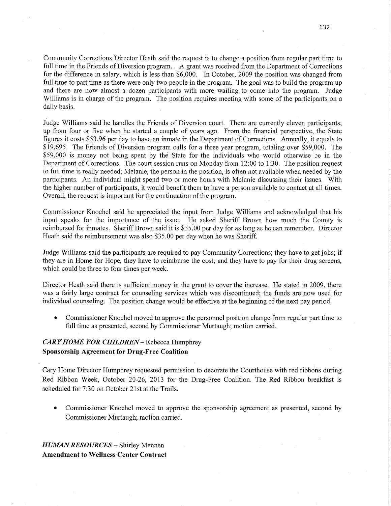Community Corrections Director Heath said the request is to change a position from regular part time to full time in the Friends of Diversion program. *.* A grant was received fromthe Department of Corrections for the difference in salary, which is less than \$6,000. In October, 2009 the position was changed from full time to part time as there were only two people in the program. The goal was to build the program up and there are now almost a dozen participants with more waiting to come into the program. Judge Williams is in charge of the program. The position requires meeting with some of the participants on <sup>a</sup> daily **basis.** 

Judge Williams said he handles the Friends of Diversion court. There are currently eleven participants; up from four or five when he started a couple of years ago. From the financial perspective, the State figures it costs \$53 .96 per day to have an inmate in the Department of Corrections. Annually, it equals to \$19,695. The Friends of Diversion program calls for a three year program, totaling over \$59,000. The \$59,000 is money not being spent by the State for the individuals who would otherwise be in the Departinent of Corrections. The court session runs on Monday from 12:00 to 1:30. The position request to full time is really needed; Melanie, the person in the position, is often not available when needed by the participants. An individual might spend two or more hours with Melanie discussing their issues. With the higher number of participants, it would benefit them to have a person available to contact at all times. Overall, the request is important for the continuation of the program.

Commissioner Knochel said he appreciated the input from Judge Williams and acknowledged that his input speaks for the importance of the issue. He asked Sheriff Brown how much the County is reimbursed for inmates. Sheriff Brown said it is \$35.00 per day for as long as he can remember. Director Heath said the reimbursement was also \$35.00 per day when he was Sheriff.

Judge Williams said the participants are required to pay Community Corrections; they have to ge<sup>t</sup>jobs; if they are in Home for Hope, they have to reimburse the cost; and they have to pay for their drug screens, which could be three to four times per week.

Director Heath said there is sufficient money in the grant to cover the increase. He stated in 2009, there was a fairly large contract for counseling services which was discontinued; the funds are now used for individual counseling. The position change would be effective at the beginning of the next pay period.

**0** Commissioner Knochel moved to approve the personnel position change from regular part time to full time as presented, second by Commissioner Murtaugh; motion carried.

# *CARY HOME* FOR *CHILDREN* —- Rebecca Humphrey **Sponsorship Agreement** for **Drug-Free Coalition**

Cary Home Director Humphrey requested permission to decorate the Courthouse with red ribbons during Red Ribbon Week, October 20-26, 2013 for the Drug-Free Coalition. The Red Ribbon breakfast is scheduled for 7:30 on October 21st at the Trails.

**0** Commissioner Knochel moved to approve the sponsorship agreement as presented, second by Commissioner Murtaugh; motion carried.

*HUMAN RESOURCES —* Shirley Mennen Amendment to Wellness **Center Contract**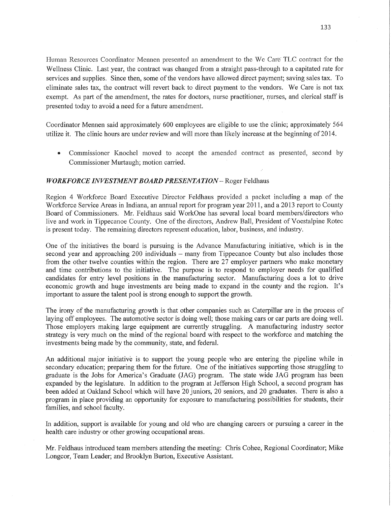Human Resources Coordinator Mennen presented an amendment to the We *Care"* TLC contract for the Wellness Clinic. Last year, the contract was changed from a straight pass-through to a capitated rate for services and supplies. Since then, some of the vendors have allowed direct payment; saving sales **tax.** To eliminate sales tax, the contract will revert back to direct payment to the vendors. We Care is not tax exempt. As part of the amendment, the rates for doctors, nurse practitioner, nurses, and clerical staff is presented today to avoid a need for a future amendment.

Coordinator Mennen said approximately 600 employees are eligible to use the Clinic; approximately 564 utilize it. The clinic **hours** are under review and will more than likely increase at the beginning of 2014.

**•** Commissioner Knochel moved to accept the amended contract as presented, second by Commissioner Murtaugh; motion carried. *'* 

#### *WORKFORCE INVESTMENT BOARD PRESENTATION* - Roger Feldhaus

Region 4 Workforce Board Executive Director Feldhaus provided a packet including a map. of the **Workforce** Service Areas in Indiana, an annual report for program year 2011, and a 2013 report to County Board of Commissioners. Mr. Feldhaus said WorkOne has several local board members/directors who live and work in Tippecanoe County. One of the directors, Andrew Ball, President of Voestalpine Rotec is present today. The remaining directors represent education, labor, business, and industry.

One of the initiatives the board is pursuing is the Advance Manufacturing initiative, which is in the second year and approaching 200 individuals — many from Tippecanoe County but also includes those from the other twelve counties within the region. There are 27 employer partners who make monetary and time contributions to the initiative. The purpose is to respond to employer needs for qualified candidates for entry level positions in the manufacturing sector. Manufacturing does a lot to drive economic growth and huge investments are being made to expand in the county and the region. It's important to assure the talent pool is strong enough to support the growth.

The irony of the manufacturing growth is that other companies such as Caterpillar are in the process of laying off employees. The automotive sector is doing well; those making cars or car parts are doing well. Those employers making large equipment are currently struggling. **A** manufacturing industry sector strategy is very much on the mind of the regional board with respect to the workforce and matching the investments being made by the community, state, and federal.

An additional major initiative is to support the young people who are entering the pipeline while in secondary education; preparing them for the future. One of the initiatives supporting those struggling to graduate is the Jobs for America's Graduate (JAG) program. The state wide JAG program has been expanded by the legislature. In addition to the program at Jefferson **High** School, a second program has been added at Oakland School which will have 20 juniors, 20 seniors, and 20 graduates. There is also <sup>a</sup> program in place providing an opportunity for exposure to manufacturing possibilities for students, their families, and school faculty.

In addition, support is available for young and old who are changing careers or pursuing a career in the health care industry or other growing occupational areas.

Mr. Feldhaus introduced team members attending the meeting: Chris Cohee, Regional Coordinator; Mike Longcor, Team Leader; and Brooklyn Burton, Executive Assistant.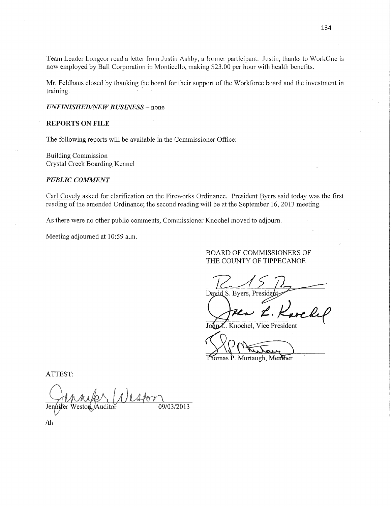Team Leader Longcor read a letter from Justin Ashby, a former participant. Justin, thanks to WorkOne is now employed by Ball Corporation in Monticello, making \$23.00 per hour with health benefits.

Mr. Feldhaus closed by thanking the board for their support of the Workforce board and the investment in training.

#### UNFINISHED/NEW BUSINESS - none

#### **REPORTS ON FILE**

The following reports will be available in the Commissioner Office:

**Building Commission** Crystal Creek Boarding Kennel

#### **PUBLIC COMMENT**

Carl Covely asked for clarification on the Fireworks Ordinance. President Byers said today was the first reading of the amended Ordinance; the second reading will be at the September 16, 2013 meeting.

As there were no other public comments, Commissioner Knochel moved to adjourn.

Meeting adjourned at 10:59 a.m.

#### BOARD OF COMMISSIONERS OF THE COUNTY OF TIPPECANOE

David S. Byers, Presid

bnZ. Knochel, Vice President

Thomas P. Murtaugh, Member

ATTEST:

 $400$ Jennifer 09/03/2013

 $/th$